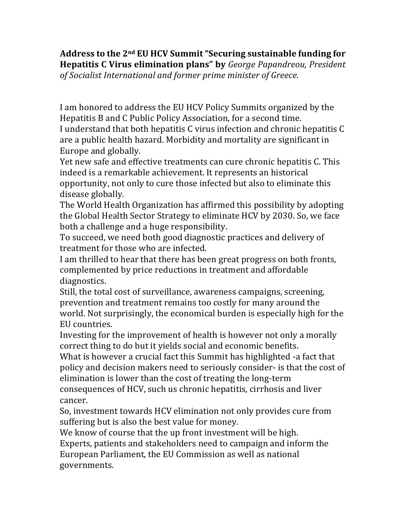**Address to the 2nd EU HCV Summit"Securing sustainable funding for Hepatitis C Virus elimination plans" by** *George Papandreou, President of Socialist International and former prime minister of Greece.*

I am honored to address the EU HCV Policy Summits organized by the Hepatitis B and C Public Policy Association, for a second time.

I understand that both hepatitis C virus infection and chronic hepatitis C are a public health hazard. Morbidity and mortality are significant in Europe and globally.

Yet new safe and effective treatments can cure chronic hepatitis C. This indeed is a remarkable achievement. It represents an historical opportunity, not only to cure those infected but also to eliminate this disease globally.

The World Health Organization has affirmed this possibility by adopting the Global Health Sector Strategy to eliminate HCV by 2030. So, we face both a challenge and a huge responsibility.

To succeed, we need both good diagnostic practices and delivery of treatment for those who are infected.

I am thrilled to hear that there has been great progress on both fronts, complemented by price reductions in treatment and affordable diagnostics.

Still, the total cost of surveillance, awareness campaigns, screening, prevention and treatment remains too costly for many around the world. Not surprisingly, the economical burden is especially high for the EU countries.

Investing for the improvement of health is however not only a morally correct thing to do but it yields social and economic benefits.

What is however a crucial fact this Summit has highlighted -a fact that policy and decision makers need to seriously consider- is that the cost of elimination is lower than the cost of treating the long-term consequences of HCV, such us chronic hepatitis, cirrhosis and liver

cancer.

So, investment towards HCV elimination not only provides cure from suffering but is also the best value for money.

We know of course that the up front investment will be high.

Experts, patients and stakeholders need to campaign and inform the European Parliament, the EU Commission as well as national governments.